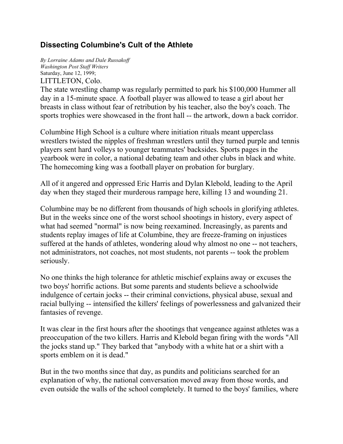## **Dissecting Columbine's Cult of the Athlete**

*By Lorraine Adams and Dale Russakoff Washington Post Staff Writers* Saturday, June 12, 1999; LITTLETON, Colo.

The state wrestling champ was regularly permitted to park his \$100,000 Hummer all day in a 15-minute space. A football player was allowed to tease a girl about her breasts in class without fear of retribution by his teacher, also the boy's coach. The sports trophies were showcased in the front hall -- the artwork, down a back corridor.

Columbine High School is a culture where initiation rituals meant upperclass wrestlers twisted the nipples of freshman wrestlers until they turned purple and tennis players sent hard volleys to younger teammates' backsides. Sports pages in the yearbook were in color, a national debating team and other clubs in black and white. The homecoming king was a football player on probation for burglary.

All of it angered and oppressed Eric Harris and Dylan Klebold, leading to the April day when they staged their murderous rampage here, killing 13 and wounding 21.

Columbine may be no different from thousands of high schools in glorifying athletes. But in the weeks since one of the worst school shootings in history, every aspect of what had seemed "normal" is now being reexamined. Increasingly, as parents and students replay images of life at Columbine, they are freeze-framing on injustices suffered at the hands of athletes, wondering aloud why almost no one -- not teachers, not administrators, not coaches, not most students, not parents -- took the problem seriously.

No one thinks the high tolerance for athletic mischief explains away or excuses the two boys' horrific actions. But some parents and students believe a schoolwide indulgence of certain jocks -- their criminal convictions, physical abuse, sexual and racial bullying -- intensified the killers' feelings of powerlessness and galvanized their fantasies of revenge.

It was clear in the first hours after the shootings that vengeance against athletes was a preoccupation of the two killers. Harris and Klebold began firing with the words "All the jocks stand up." They barked that "anybody with a white hat or a shirt with a sports emblem on it is dead."

But in the two months since that day, as pundits and politicians searched for an explanation of why, the national conversation moved away from those words, and even outside the walls of the school completely. It turned to the boys' families, where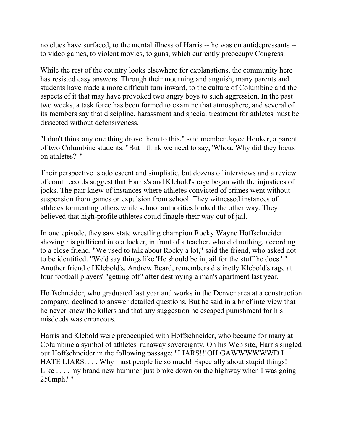no clues have surfaced, to the mental illness of Harris -- he was on antidepressants - to video games, to violent movies, to guns, which currently preoccupy Congress.

While the rest of the country looks elsewhere for explanations, the community here has resisted easy answers. Through their mourning and anguish, many parents and students have made a more difficult turn inward, to the culture of Columbine and the aspects of it that may have provoked two angry boys to such aggression. In the past two weeks, a task force has been formed to examine that atmosphere, and several of its members say that discipline, harassment and special treatment for athletes must be dissected without defensiveness.

"I don't think any one thing drove them to this," said member Joyce Hooker, a parent of two Columbine students. "But I think we need to say, 'Whoa. Why did they focus on athletes?' "

Their perspective is adolescent and simplistic, but dozens of interviews and a review of court records suggest that Harris's and Klebold's rage began with the injustices of jocks. The pair knew of instances where athletes convicted of crimes went without suspension from games or expulsion from school. They witnessed instances of athletes tormenting others while school authorities looked the other way. They believed that high-profile athletes could finagle their way out of jail.

In one episode, they saw state wrestling champion Rocky Wayne Hoffschneider shoving his girlfriend into a locker, in front of a teacher, who did nothing, according to a close friend. "We used to talk about Rocky a lot," said the friend, who asked not to be identified. "We'd say things like 'He should be in jail for the stuff he does.' " Another friend of Klebold's, Andrew Beard, remembers distinctly Klebold's rage at four football players' "getting off" after destroying a man's apartment last year.

Hoffschneider, who graduated last year and works in the Denver area at a construction company, declined to answer detailed questions. But he said in a brief interview that he never knew the killers and that any suggestion he escaped punishment for his misdeeds was erroneous.

Harris and Klebold were preoccupied with Hoffschneider, who became for many at Columbine a symbol of athletes' runaway sovereignty. On his Web site, Harris singled out Hoffschneider in the following passage: "LIARS!!!OH GAWWWWWWD I HATE LIARS. . . . Why must people lie so much! Especially about stupid things! Like  $\dots$  my brand new hummer just broke down on the highway when I was going 250mph.' "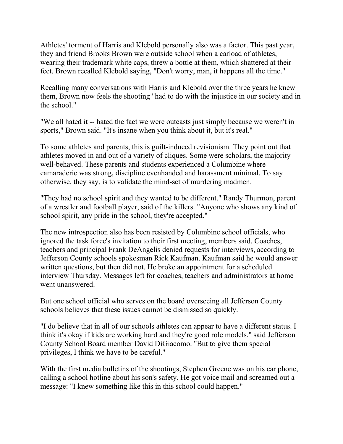Athletes' torment of Harris and Klebold personally also was a factor. This past year, they and friend Brooks Brown were outside school when a carload of athletes, wearing their trademark white caps, threw a bottle at them, which shattered at their feet. Brown recalled Klebold saying, "Don't worry, man, it happens all the time."

Recalling many conversations with Harris and Klebold over the three years he knew them, Brown now feels the shooting "had to do with the injustice in our society and in the school."

"We all hated it -- hated the fact we were outcasts just simply because we weren't in sports," Brown said. "It's insane when you think about it, but it's real."

To some athletes and parents, this is guilt-induced revisionism. They point out that athletes moved in and out of a variety of cliques. Some were scholars, the majority well-behaved. These parents and students experienced a Columbine where camaraderie was strong, discipline evenhanded and harassment minimal. To say otherwise, they say, is to validate the mind-set of murdering madmen.

"They had no school spirit and they wanted to be different," Randy Thurmon, parent of a wrestler and football player, said of the killers. "Anyone who shows any kind of school spirit, any pride in the school, they're accepted."

The new introspection also has been resisted by Columbine school officials, who ignored the task force's invitation to their first meeting, members said. Coaches, teachers and principal Frank DeAngelis denied requests for interviews, according to Jefferson County schools spokesman Rick Kaufman. Kaufman said he would answer written questions, but then did not. He broke an appointment for a scheduled interview Thursday. Messages left for coaches, teachers and administrators at home went unanswered.

But one school official who serves on the board overseeing all Jefferson County schools believes that these issues cannot be dismissed so quickly.

"I do believe that in all of our schools athletes can appear to have a different status. I think it's okay if kids are working hard and they're good role models," said Jefferson County School Board member David DiGiacomo. "But to give them special privileges, I think we have to be careful."

With the first media bulletins of the shootings, Stephen Greene was on his car phone, calling a school hotline about his son's safety. He got voice mail and screamed out a message: "I knew something like this in this school could happen."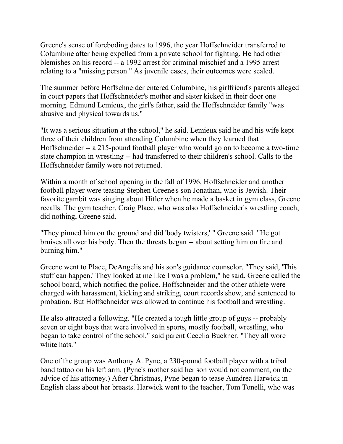Greene's sense of foreboding dates to 1996, the year Hoffschneider transferred to Columbine after being expelled from a private school for fighting. He had other blemishes on his record -- a 1992 arrest for criminal mischief and a 1995 arrest relating to a "missing person." As juvenile cases, their outcomes were sealed.

The summer before Hoffschneider entered Columbine, his girlfriend's parents alleged in court papers that Hoffschneider's mother and sister kicked in their door one morning. Edmund Lemieux, the girl's father, said the Hoffschneider family "was abusive and physical towards us."

"It was a serious situation at the school," he said. Lemieux said he and his wife kept three of their children from attending Columbine when they learned that Hoffschneider -- a 215-pound football player who would go on to become a two-time state champion in wrestling -- had transferred to their children's school. Calls to the Hoffschneider family were not returned.

Within a month of school opening in the fall of 1996, Hoffschneider and another football player were teasing Stephen Greene's son Jonathan, who is Jewish. Their favorite gambit was singing about Hitler when he made a basket in gym class, Greene recalls. The gym teacher, Craig Place, who was also Hoffschneider's wrestling coach, did nothing, Greene said.

"They pinned him on the ground and did 'body twisters,' " Greene said. "He got bruises all over his body. Then the threats began -- about setting him on fire and burning him."

Greene went to Place, DeAngelis and his son's guidance counselor. "They said, 'This stuff can happen.' They looked at me like I was a problem," he said. Greene called the school board, which notified the police. Hoffschneider and the other athlete were charged with harassment, kicking and striking, court records show, and sentenced to probation. But Hoffschneider was allowed to continue his football and wrestling.

He also attracted a following. "He created a tough little group of guys -- probably seven or eight boys that were involved in sports, mostly football, wrestling, who began to take control of the school," said parent Cecelia Buckner. "They all wore white hats."

One of the group was Anthony A. Pyne, a 230-pound football player with a tribal band tattoo on his left arm. (Pyne's mother said her son would not comment, on the advice of his attorney.) After Christmas, Pyne began to tease Aundrea Harwick in English class about her breasts. Harwick went to the teacher, Tom Tonelli, who was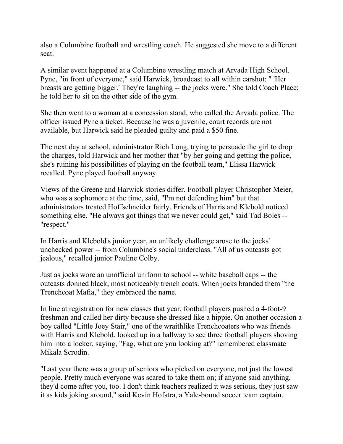also a Columbine football and wrestling coach. He suggested she move to a different seat.

A similar event happened at a Columbine wrestling match at Arvada High School. Pyne, "in front of everyone," said Harwick, broadcast to all within earshot: " 'Her breasts are getting bigger.' They're laughing -- the jocks were." She told Coach Place; he told her to sit on the other side of the gym.

She then went to a woman at a concession stand, who called the Arvada police. The officer issued Pyne a ticket. Because he was a juvenile, court records are not available, but Harwick said he pleaded guilty and paid a \$50 fine.

The next day at school, administrator Rich Long, trying to persuade the girl to drop the charges, told Harwick and her mother that "by her going and getting the police, she's ruining his possibilities of playing on the football team," Elissa Harwick recalled. Pyne played football anyway.

Views of the Greene and Harwick stories differ. Football player Christopher Meier, who was a sophomore at the time, said, "I'm not defending him" but that administrators treated Hoffschneider fairly. Friends of Harris and Klebold noticed something else. "He always got things that we never could get," said Tad Boles -- "respect."

In Harris and Klebold's junior year, an unlikely challenge arose to the jocks' unchecked power -- from Columbine's social underclass. "All of us outcasts got jealous," recalled junior Pauline Colby.

Just as jocks wore an unofficial uniform to school -- white baseball caps -- the outcasts donned black, most noticeably trench coats. When jocks branded them "the Trenchcoat Mafia," they embraced the name.

In line at registration for new classes that year, football players pushed a 4-foot-9 freshman and called her dirty because she dressed like a hippie. On another occasion a boy called "Little Joey Stair," one of the wraithlike Trenchcoaters who was friends with Harris and Klebold, looked up in a hallway to see three football players shoving him into a locker, saying, "Fag, what are you looking at?" remembered classmate Mikala Scrodin.

"Last year there was a group of seniors who picked on everyone, not just the lowest people. Pretty much everyone was scared to take them on; if anyone said anything, they'd come after you, too. I don't think teachers realized it was serious, they just saw it as kids joking around," said Kevin Hofstra, a Yale-bound soccer team captain.